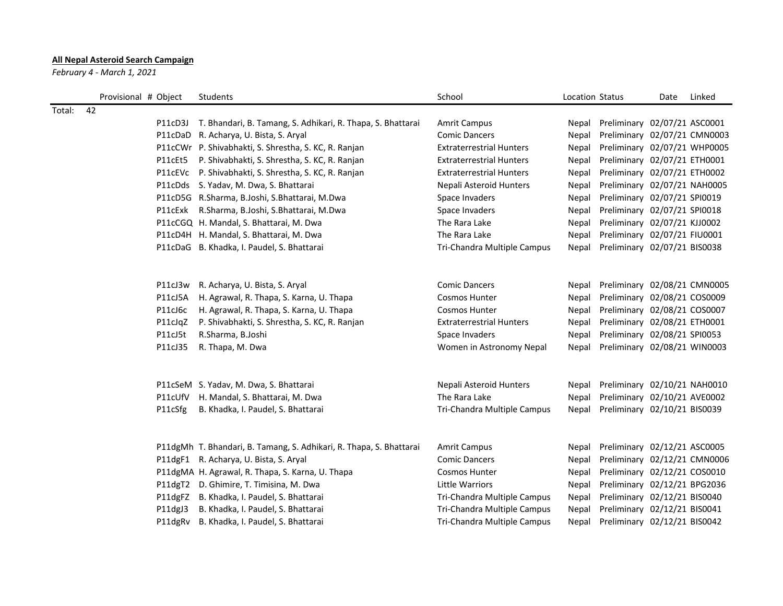## All Nepal Asteroid Search Campaign

February 4 - March 1, 2021

|              | Provisional # Object | Students                                                            | School                          | Location Status |                                    | Date | Linked |
|--------------|----------------------|---------------------------------------------------------------------|---------------------------------|-----------------|------------------------------------|------|--------|
| 42<br>Total: |                      |                                                                     |                                 |                 |                                    |      |        |
|              |                      | P11cD3J T. Bhandari, B. Tamang, S. Adhikari, R. Thapa, S. Bhattarai | <b>Amrit Campus</b>             |                 | Nepal Preliminary 02/07/21 ASC0001 |      |        |
|              |                      | P11cDaD R. Acharya, U. Bista, S. Aryal                              | <b>Comic Dancers</b>            | Nepal           | Preliminary 02/07/21 CMN0003       |      |        |
|              |                      | P11cCWr P. Shivabhakti, S. Shrestha, S. KC, R. Ranjan               | <b>Extraterrestrial Hunters</b> | Nepal           | Preliminary 02/07/21 WHP0005       |      |        |
|              |                      | P11cEt5 P. Shivabhakti, S. Shrestha, S. KC, R. Ranjan               | <b>Extraterrestrial Hunters</b> | Nepal           | Preliminary 02/07/21 ETH0001       |      |        |
|              |                      | P11cEVc P. Shivabhakti, S. Shrestha, S. KC, R. Ranjan               | <b>Extraterrestrial Hunters</b> |                 | Nepal Preliminary 02/07/21 ETH0002 |      |        |
|              |                      | P11cDds S. Yadav, M. Dwa, S. Bhattarai                              | Nepali Asteroid Hunters         | Nepal           | Preliminary 02/07/21 NAH0005       |      |        |
|              |                      | P11cD5G R.Sharma, B.Joshi, S.Bhattarai, M.Dwa                       | Space Invaders                  | Nepal           | Preliminary 02/07/21 SPI0019       |      |        |
|              |                      | P11cExk R.Sharma, B.Joshi, S.Bhattarai, M.Dwa                       | Space Invaders                  | Nepal           | Preliminary 02/07/21 SPI0018       |      |        |
|              |                      | P11cCGQ H. Mandal, S. Bhattarai, M. Dwa                             | The Rara Lake                   | Nepal           | Preliminary 02/07/21 KJJ0002       |      |        |
|              |                      | P11cD4H H. Mandal, S. Bhattarai, M. Dwa                             | The Rara Lake                   | Nepal           | Preliminary 02/07/21 FIU0001       |      |        |
|              |                      | P11cDaG B. Khadka, I. Paudel, S. Bhattarai                          | Tri-Chandra Multiple Campus     |                 | Nepal Preliminary 02/07/21 BIS0038 |      |        |
|              |                      |                                                                     |                                 |                 |                                    |      |        |
|              |                      | P11cJ3w R. Acharya, U. Bista, S. Aryal                              | <b>Comic Dancers</b>            | Nepal           | Preliminary 02/08/21 CMN0005       |      |        |
|              | P11cJ5A              | H. Agrawal, R. Thapa, S. Karna, U. Thapa                            | <b>Cosmos Hunter</b>            | Nepal           | Preliminary 02/08/21 COS0009       |      |        |
|              | P11cJ6c              | H. Agrawal, R. Thapa, S. Karna, U. Thapa                            | <b>Cosmos Hunter</b>            | Nepal           | Preliminary 02/08/21 COS0007       |      |        |
|              | P11cJqZ              | P. Shivabhakti, S. Shrestha, S. KC, R. Ranjan                       | <b>Extraterrestrial Hunters</b> | Nepal           | Preliminary 02/08/21 ETH0001       |      |        |
|              | P11cJ5t              | R.Sharma, B.Joshi                                                   | Space Invaders                  | Nepal           | Preliminary 02/08/21 SPI0053       |      |        |
|              | P11cJ35              | R. Thapa, M. Dwa                                                    | Women in Astronomy Nepal        |                 | Nepal Preliminary 02/08/21 WIN0003 |      |        |
|              |                      |                                                                     |                                 |                 |                                    |      |        |
|              |                      | P11cSeM S. Yadav, M. Dwa, S. Bhattarai                              | Nepali Asteroid Hunters         |                 | Nepal Preliminary 02/10/21 NAH0010 |      |        |
|              |                      | P11cUfV H. Mandal, S. Bhattarai, M. Dwa                             | The Rara Lake                   | Nepal           | Preliminary 02/10/21 AVE0002       |      |        |
|              | P11cSfg              | B. Khadka, I. Paudel, S. Bhattarai                                  | Tri-Chandra Multiple Campus     |                 | Nepal Preliminary 02/10/21 BIS0039 |      |        |
|              |                      | P11dgMh T. Bhandari, B. Tamang, S. Adhikari, R. Thapa, S. Bhattarai | <b>Amrit Campus</b>             | Nepal           | Preliminary 02/12/21 ASC0005       |      |        |
|              |                      | P11dgF1 R. Acharya, U. Bista, S. Aryal                              | <b>Comic Dancers</b>            | Nepal           | Preliminary 02/12/21 CMN0006       |      |        |
|              |                      | P11dgMA H. Agrawal, R. Thapa, S. Karna, U. Thapa                    | <b>Cosmos Hunter</b>            | Nepal           | Preliminary 02/12/21 COS0010       |      |        |
|              |                      | P11dgT2 D. Ghimire, T. Timisina, M. Dwa                             | Little Warriors                 | Nepal           | Preliminary 02/12/21 BPG2036       |      |        |
|              |                      | P11dgFZ B. Khadka, I. Paudel, S. Bhattarai                          | Tri-Chandra Multiple Campus     | Nepal           | Preliminary 02/12/21 BIS0040       |      |        |
|              | P11dgJ3              | B. Khadka, I. Paudel, S. Bhattarai                                  | Tri-Chandra Multiple Campus     | Nepal           | Preliminary 02/12/21 BIS0041       |      |        |
|              |                      | P11dgRv B. Khadka, I. Paudel, S. Bhattarai                          | Tri-Chandra Multiple Campus     | Nepal           | Preliminary 02/12/21 BIS0042       |      |        |